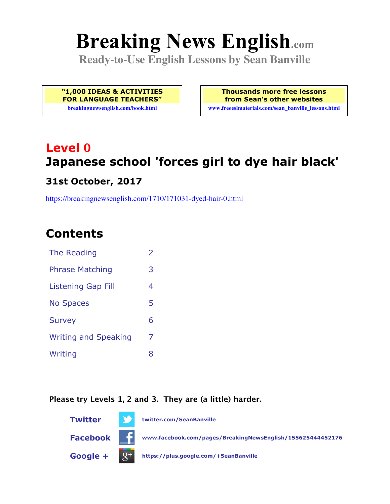# **Breaking News English.com**

**Ready-to-Use English Lessons by Sean Banville**

**"1,000 IDEAS & ACTIVITIES FOR LANGUAGE TEACHERS"**

**breakingnewsenglish.com/book.html**

**Thousands more free lessons from Sean's other websites www.freeeslmaterials.com/sean\_banville\_lessons.html**

## **Level 0 Japanese school 'forces girl to dye hair black'**

#### **31st October, 2017**

https://breakingnewsenglish.com/1710/171031-dyed-hair-0.html

### **Contents**

| The Reading                 | $\overline{\phantom{a}}$ |
|-----------------------------|--------------------------|
| <b>Phrase Matching</b>      | 3                        |
| Listening Gap Fill          | 4                        |
| <b>No Spaces</b>            | 5                        |
| <b>Survey</b>               | 6                        |
| <b>Writing and Speaking</b> | 7                        |
| Writing                     | 8                        |

#### **Please try Levels 1, 2 and 3. They are (a little) harder.**

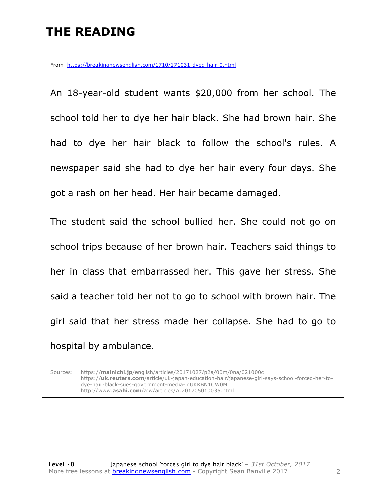### **THE READING**

From https://breakingnewsenglish.com/1710/171031-dyed-hair-0.html

An 18-year-old student wants \$20,000 from her school. The school told her to dye her hair black. She had brown hair. She had to dye her hair black to follow the school's rules. A newspaper said she had to dye her hair every four days. She got a rash on her head. Her hair became damaged.

The student said the school bullied her. She could not go on school trips because of her brown hair. Teachers said things to her in class that embarrassed her. This gave her stress. She said a teacher told her not to go to school with brown hair. The girl said that her stress made her collapse. She had to go to hospital by ambulance.

Sources: https://**mainichi.jp**/english/articles/20171027/p2a/00m/0na/021000c https://**uk.reuters.com**/article/uk-japan-education-hair/japanese-girl-says-school-forced-her-todye-hair-black-sues-government-media-idUKKBN1CW0ML http://www.**asahi.com**/ajw/articles/AJ201705010035.html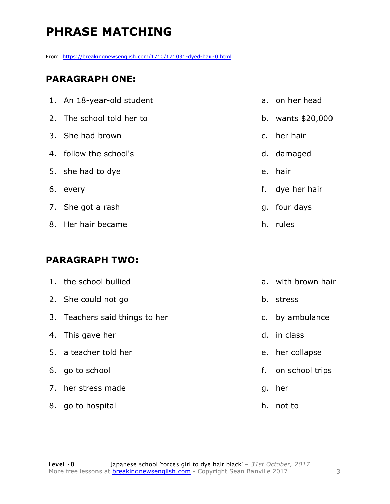### **PHRASE MATCHING**

From https://breakingnewsenglish.com/1710/171031-dyed-hair-0.html

#### **PARAGRAPH ONE:**

| 1. An 18-year-old student |                | a, on her head    |
|---------------------------|----------------|-------------------|
| 2. The school told her to |                | b. wants \$20,000 |
| 3. She had brown          | $\mathsf{C}$ . | her hair          |
| 4. follow the school's    |                | d. damaged        |
| 5. she had to dye         |                | e. hair           |
| 6. every                  | f.             | dye her hair      |
| 7. She got a rash         |                | g. four days      |
| 8. Her hair became        |                | h. rules          |

#### **PARAGRAPH TWO:**

|    | 1. the school bullied          |    | a. with brown hair |
|----|--------------------------------|----|--------------------|
|    | 2. She could not go            | b. | stress             |
|    | 3. Teachers said things to her | C. | by ambulance       |
|    | 4. This gave her               | d. | in class           |
|    | 5. a teacher told her          |    | e. her collapse    |
|    | 6. go to school                | f. | on school trips    |
|    | 7. her stress made             | g. | her                |
| 8. | go to hospital                 | h. | not to             |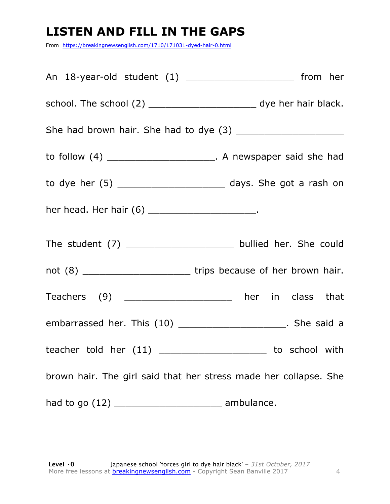### **LISTEN AND FILL IN THE GAPS**

From https://breakingnewsenglish.com/1710/171031-dyed-hair-0.html

| An 18-year-old student (1) ________________________ from her             |  |
|--------------------------------------------------------------------------|--|
| school. The school (2) __________________________ dye her hair black.    |  |
|                                                                          |  |
| to follow (4) ________________________________. A newspaper said she had |  |
| to dye her $(5)$ _______________________________ days. She got a rash on |  |
| her head. Her hair (6) ________________________.                         |  |
| The student (7) _______________________ bullied her. She could           |  |
| not (8) ________________________________trips because of her brown hair. |  |
| Teachers (9) ______________________ her in class that                    |  |
| embarrassed her. This (10) _______________________. She said a           |  |
| teacher told her $(11)$ ___________________________ to school with       |  |
| brown hair. The girl said that her stress made her collapse. She         |  |
| had to go (12) ________________________________ ambulance.               |  |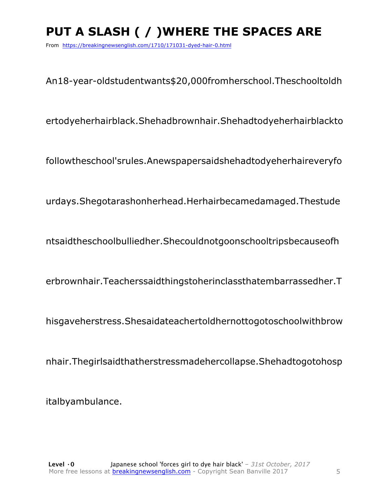### **PUT A SLASH ( / )WHERE THE SPACES ARE**

From https://breakingnewsenglish.com/1710/171031-dyed-hair-0.html

An18-year-oldstudentwants\$20,000fromherschool.Theschooltoldh

ertodyeherhairblack.Shehadbrownhair.Shehadtodyeherhairblackto

followtheschool'srules.Anewspapersaidshehadtodyeherhaireveryfo

urdays.Shegotarashonherhead.Herhairbecamedamaged.Thestude

ntsaidtheschoolbulliedher.Shecouldnotgoonschooltripsbecauseofh

erbrownhair.Teacherssaidthingstoherinclassthatembarrassedher.T

hisgaveherstress.Shesaidateachertoldhernottogotoschoolwithbrow

nhair.Thegirlsaidthatherstressmadehercollapse.Shehadtogotohosp

italbyambulance.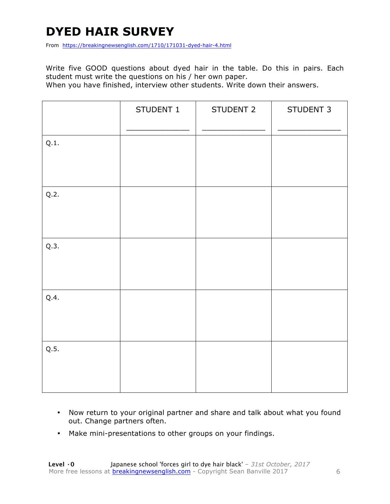### **DYED HAIR SURVEY**

From https://breakingnewsenglish.com/1710/171031-dyed-hair-4.html

Write five GOOD questions about dyed hair in the table. Do this in pairs. Each student must write the questions on his / her own paper.

When you have finished, interview other students. Write down their answers.

|      | STUDENT 1 | STUDENT 2 | STUDENT 3 |
|------|-----------|-----------|-----------|
| Q.1. |           |           |           |
| Q.2. |           |           |           |
| Q.3. |           |           |           |
| Q.4. |           |           |           |
| Q.5. |           |           |           |

- Now return to your original partner and share and talk about what you found out. Change partners often.
- Make mini-presentations to other groups on your findings.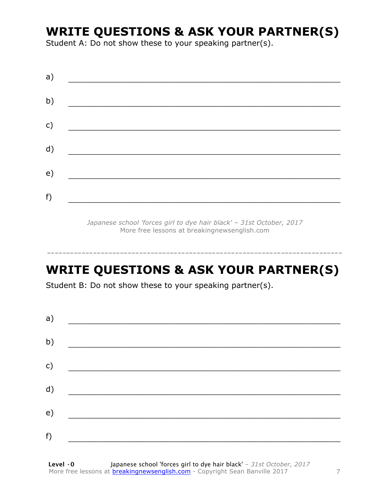### **WRITE QUESTIONS & ASK YOUR PARTNER(S)**

Student A: Do not show these to your speaking partner(s).

| a) |  |  |
|----|--|--|
| b) |  |  |
| c) |  |  |
| d) |  |  |
| e) |  |  |
| f) |  |  |
|    |  |  |

*Japanese school 'forces girl to dye hair black' – 31st October, 2017* More free lessons at breakingnewsenglish.com

### **WRITE QUESTIONS & ASK YOUR PARTNER(S)**

-----------------------------------------------------------------------------

Student B: Do not show these to your speaking partner(s).

| a) |  |  |
|----|--|--|
| b) |  |  |
| c) |  |  |
| d) |  |  |
| e) |  |  |
| f) |  |  |
|    |  |  |